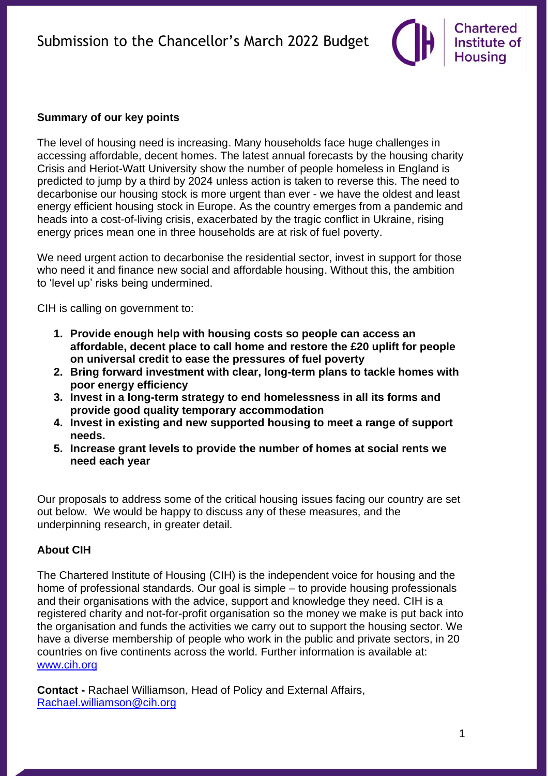# **Chartered** Institute of **Housing**

The level of housing need is increasing. Many households face huge challenges in accessing affordable, decent homes. The latest annual forecasts by the housing charity Crisis and Heriot-Watt University show the number of people homeless in England is predicted to jump by a third by 2024 unless action is taken to reverse this. The need to decarbonise our housing stock is more urgent than ever - we have the oldest and least energy efficient housing stock in Europe. As the country emerges from a pandemic and heads into a cost-of-living crisis, exacerbated by the tragic conflict in Ukraine, rising energy prices mean one in three households are at risk of fuel poverty.

We need urgent action to decarbonise the residential sector, invest in support for those who need it and finance new social and affordable housing. Without this, the ambition to 'level up' risks being undermined.

CIH is calling on government to:

- **1. Provide enough help with housing costs so people can access an affordable, decent place to call home and restore the £20 uplift for people on universal credit to ease the pressures of fuel poverty**
- **2. Bring forward investment with clear, long-term plans to tackle homes with poor energy efficiency**
- **3. Invest in a long-term strategy to end homelessness in all its forms and provide good quality temporary accommodation**
- **4. Invest in existing and new supported housing to meet a range of support needs.**
- **5. Increase grant levels to provide the number of homes at social rents we need each year**

Our proposals to address some of the critical housing issues facing our country are set out below. We would be happy to discuss any of these measures, and the underpinning research, in greater detail.

## **About CIH**

The Chartered Institute of Housing (CIH) is the independent voice for housing and the home of professional standards. Our goal is simple – to provide housing professionals and their organisations with the advice, support and knowledge they need. CIH is a registered charity and not-for-profit organisation so the money we make is put back into the organisation and funds the activities we carry out to support the housing sector. We have a diverse membership of people who work in the public and private sectors, in 20 countries on five continents across the world. Further information is available at: [www.cih.org](http://www.cih.org/)

**Contact -** Rachael Williamson, Head of Policy and External Affairs, [Rachael.williamson@cih.org](mailto:Rachael.williamson@cih.org)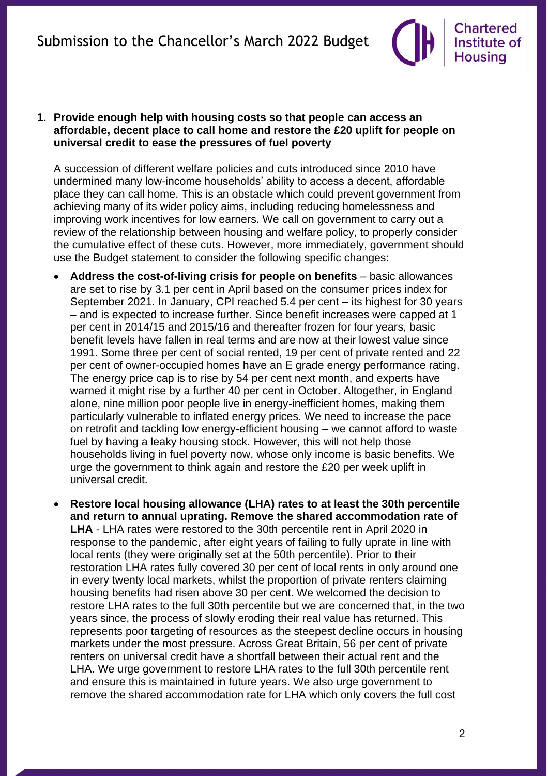

**1. Provide enough help with housing costs so that people can access an affordable, decent place to call home and restore the £20 uplift for people on universal credit to ease the pressures of fuel poverty**

A succession of different welfare policies and cuts introduced since 2010 have undermined many low-income households' ability to access a decent, affordable place they can call home. This is an obstacle which could prevent government from achieving many of its wider policy aims, including reducing homelessness and improving work incentives for low earners. We call on government to carry out a review of the relationship between housing and welfare policy, to properly consider the cumulative effect of these cuts. However, more immediately, government should use the Budget statement to consider the following specific changes:

- **Address the cost-of-living crisis for people on benefits** basic allowances are set to rise by 3.1 per cent in April based on the consumer prices index for September 2021. In January, CPI reached 5.4 per cent – its highest for 30 years – and is expected to increase further. Since benefit increases were capped at 1 per cent in 2014/15 and 2015/16 and thereafter frozen for four years, basic benefit levels have fallen in real terms and are now at their lowest value since 1991. Some three per cent of social rented, 19 per cent of private rented and 22 per cent of owner-occupied homes have an E grade energy performance rating. The energy price cap is to rise by 54 per cent next month, and experts have warned it might rise by a further 40 per cent in October. Altogether, in England alone, nine million poor people live in energy-inefficient homes, making them particularly vulnerable to inflated energy prices. We need to increase the pace on retrofit and tackling low energy-efficient housing – we cannot afford to waste fuel by having a leaky housing stock. However, this will not help those households living in fuel poverty now, whose only income is basic benefits. We urge the government to think again and restore the £20 per week uplift in universal credit.
- **Restore local housing allowance (LHA) rates to at least the 30th percentile and return to annual uprating. Remove the shared accommodation rate of LHA** - LHA rates were restored to the 30th percentile rent in April 2020 in response to the pandemic, after eight years of failing to fully uprate in line with local rents (they were originally set at the 50th percentile). Prior to their restoration LHA rates fully covered 30 per cent of local rents in only around one in every twenty local markets, whilst the proportion of private renters claiming housing benefits had risen above 30 per cent. We welcomed the decision to restore LHA rates to the full 30th percentile but we are concerned that, in the two years since, the process of slowly eroding their real value has returned. This represents poor targeting of resources as the steepest decline occurs in housing markets under the most pressure. Across Great Britain, 56 per cent of private renters on universal credit have a shortfall between their actual rent and the LHA. We urge government to restore LHA rates to the full 30th percentile rent and ensure this is maintained in future years. We also urge government to remove the shared accommodation rate for LHA which only covers the full cost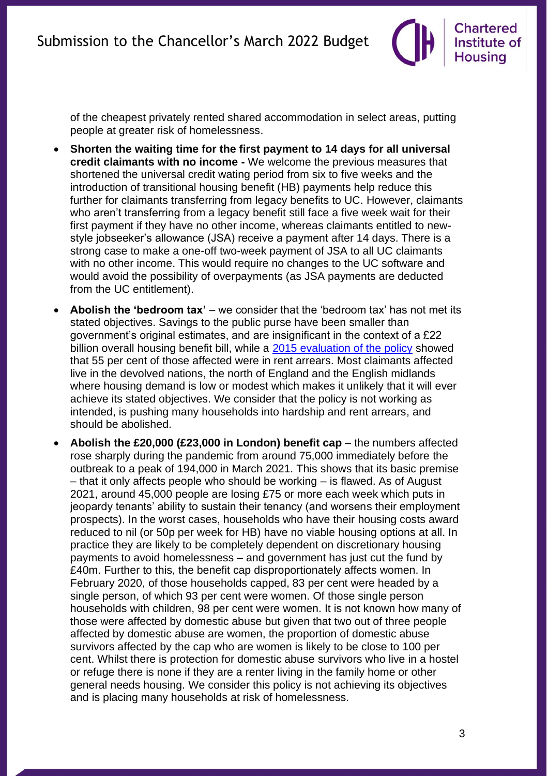**Chartered** Institute of **Housing** 

of the cheapest privately rented shared accommodation in select areas, putting people at greater risk of homelessness.

- **Shorten the waiting time for the first payment to 14 days for all universal credit claimants with no income -** We welcome the previous measures that shortened the universal credit wating period from six to five weeks and the introduction of transitional housing benefit (HB) payments help reduce this further for claimants transferring from legacy benefits to UC. However, claimants who aren't transferring from a legacy benefit still face a five week wait for their first payment if they have no other income, whereas claimants entitled to newstyle jobseeker's allowance (JSA) receive a payment after 14 days. There is a strong case to make a one-off two-week payment of JSA to all UC claimants with no other income. This would require no changes to the UC software and would avoid the possibility of overpayments (as JSA payments are deducted from the UC entitlement).
- **Abolish the 'bedroom tax'** we consider that the 'bedroom tax' has not met its stated objectives. Savings to the public purse have been smaller than government's original estimates, and are insignificant in the context of a £22 billion overall housing benefit bill, while a [2015 evaluation of the policy](https://assets.publishing.service.gov.uk/government/uploads/system/uploads/attachment_data/file/506407/rsrs-evaluation.pdf) showed that 55 per cent of those affected were in rent arrears. Most claimants affected live in the devolved nations, the north of England and the English midlands where housing demand is low or modest which makes it unlikely that it will ever achieve its stated objectives. We consider that the policy is not working as intended, is pushing many households into hardship and rent arrears, and should be abolished.
- **Abolish the £20,000 (£23,000 in London) benefit cap** the numbers affected rose sharply during the pandemic from around 75,000 immediately before the outbreak to a peak of 194,000 in March 2021. This shows that its basic premise – that it only affects people who should be working – is flawed. As of August 2021, around 45,000 people are losing £75 or more each week which puts in jeopardy tenants' ability to sustain their tenancy (and worsens their employment prospects). In the worst cases, households who have their housing costs award reduced to nil (or 50p per week for HB) have no viable housing options at all. In practice they are likely to be completely dependent on discretionary housing payments to avoid homelessness – and government has just cut the fund by £40m. Further to this, the benefit cap disproportionately affects women. In February 2020, of those households capped, 83 per cent were headed by a single person, of which 93 per cent were women. Of those single person households with children, 98 per cent were women. It is not known how many of those were affected by domestic abuse but given that two out of three people affected by domestic abuse are women, the proportion of domestic abuse survivors affected by the cap who are women is likely to be close to 100 per cent. Whilst there is protection for domestic abuse survivors who live in a hostel or refuge there is none if they are a renter living in the family home or other general needs housing. We consider this policy is not achieving its objectives and is placing many households at risk of homelessness.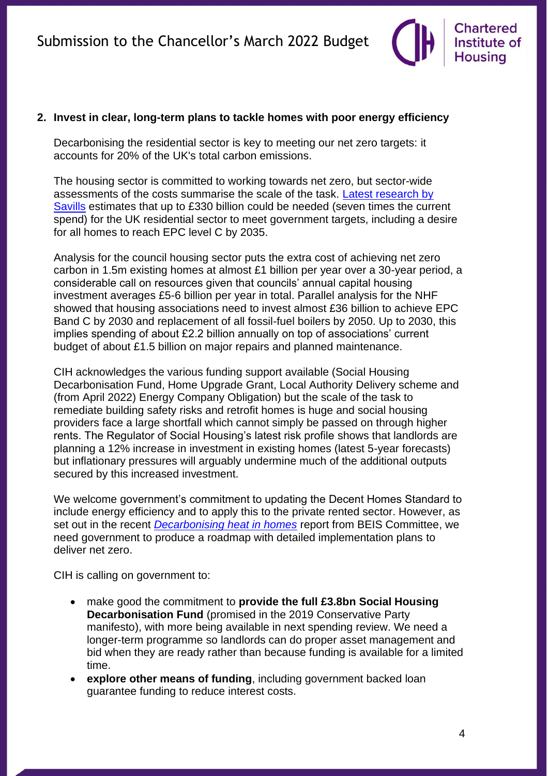

#### **2. Invest in clear, long-term plans to tackle homes with poor energy efficiency**

Decarbonising the residential sector is key to meeting our net zero targets: it accounts for 20% of the UK's total carbon emissions.

The housing sector is committed to working towards net zero, but sector-wide assessments of the costs summarise the scale of the task. Latest research by [Savills](https://www.savills.co.uk/research_articles/229130/320828-0) estimates that up to £330 billion could be needed (seven times the current spend) for the UK residential sector to meet government targets, including a desire for all homes to reach EPC level C by 2035.

Analysis for the council housing sector puts the extra cost of achieving net zero carbon in 1.5m existing homes at almost £1 billion per year over a 30-year period, a considerable call on resources given that councils' annual capital housing investment averages £5-6 billion per year in total. Parallel analysis for the NHF showed that housing associations need to invest almost £36 billion to achieve EPC Band C by 2030 and replacement of all fossil-fuel boilers by 2050. Up to 2030, this implies spending of about £2.2 billion annually on top of associations' current budget of about £1.5 billion on major repairs and planned maintenance.

CIH acknowledges the various funding support available (Social Housing Decarbonisation Fund, Home Upgrade Grant, Local Authority Delivery scheme and (from April 2022) Energy Company Obligation) but the scale of the task to remediate building safety risks and retrofit homes is huge and social housing providers face a large shortfall which cannot simply be passed on through higher rents. The Regulator of Social Housing's latest risk profile shows that landlords are planning a 12% increase in investment in existing homes (latest 5-year forecasts) but inflationary pressures will arguably undermine much of the additional outputs secured by this increased investment.

We welcome government's commitment to updating the Decent Homes Standard to include energy efficiency and to apply this to the private rented sector. However, as set out in the recent *[Decarbonising heat in homes](https://publications.parliament.uk/pa/cm5802/cmselect/cmbeis/1038/report.html)* [report from BEIS Committee,](https://publications.parliament.uk/pa/cm5802/cmselect/cmbeis/1038/report.html) we need government to produce a roadmap with detailed implementation plans to deliver net zero.

CIH is calling on government to:

- make good the commitment to **provide the full £3.8bn Social Housing Decarbonisation Fund** (promised in the 2019 Conservative Party manifesto), with more being available in next spending review. We need a longer-term programme so landlords can do proper asset management and bid when they are ready rather than because funding is available for a limited time.
- explore other means of funding, including government backed loan guarantee funding to reduce interest costs.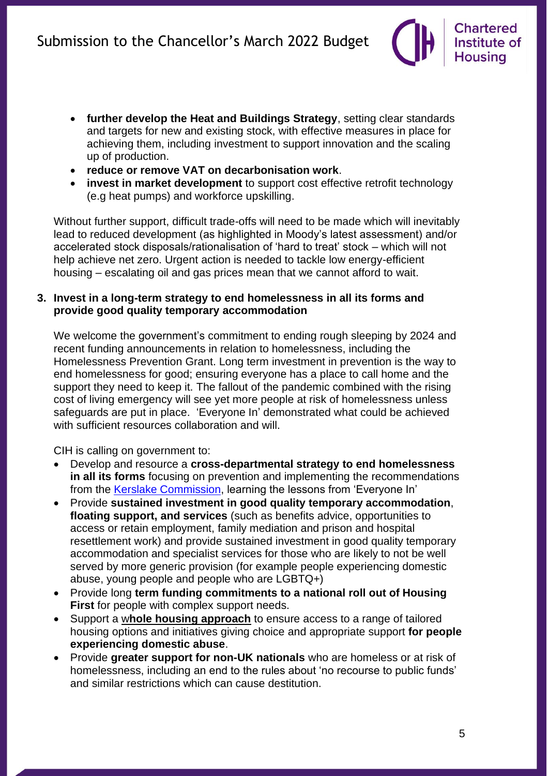- **further develop the Heat and Buildings Strategy**, setting clear standards and targets for new and existing stock, with effective measures in place for achieving them, including investment to support innovation and the scaling up of production.
- **reduce or remove VAT on decarbonisation work**.
- **invest in market development** to support cost effective retrofit technology (e.g heat pumps) and workforce upskilling.

Without further support, difficult trade-offs will need to be made which will inevitably lead to reduced development (as highlighted in Moody's latest assessment) and/or accelerated stock disposals/rationalisation of 'hard to treat' stock – which will not help achieve net zero. Urgent action is needed to tackle low energy-efficient housing – escalating oil and gas prices mean that we cannot afford to wait.

#### **3. Invest in a long-term strategy to end homelessness in all its forms and provide good quality temporary accommodation**

We welcome the government's commitment to ending rough sleeping by 2024 and recent funding announcements in relation to homelessness, including the Homelessness Prevention Grant. Long term investment in prevention is the way to end homelessness for good; ensuring everyone has a place to call home and the support they need to keep it. The fallout of the pandemic combined with the rising cost of living emergency will see yet more people at risk of homelessness unless safeguards are put in place. 'Everyone In' demonstrated what could be achieved with sufficient resources collaboration and will.

CIH is calling on government to:

- Develop and resource a **cross-departmental strategy to end homelessness in all its forms** focusing on prevention and implementing the recommendations from the [Kerslake Commission,](https://usercontent.one/wp/www.commissiononroughsleeping.org/wp-content/uploads/2021/11/Kerslake_Commission_Final_Report_21.pdf) learning the lessons from 'Everyone In'
- Provide **sustained investment in good quality temporary accommodation**, **floating support, and services** (such as benefits advice, opportunities to access or retain employment, family mediation and prison and hospital resettlement work) and provide sustained investment in good quality temporary accommodation and specialist services for those who are likely to not be well served by more generic provision (for example people experiencing domestic abuse, young people and people who are LGBTQ+)
- Provide long **term funding commitments to a national roll out of Housing First** for people with complex support needs.
- Support a w**[hole housing approach](https://www.dahalliance.org.uk/what-we-do/whole-housing-approach/what-is-the-whole-housing-approach/)** to ensure access to a range of tailored housing options and initiatives giving choice and appropriate support **for people experiencing domestic abuse**.
- Provide **greater support for non-UK nationals** who are homeless or at risk of homelessness, including an end to the rules about 'no recourse to public funds' and similar restrictions which can cause destitution.

**Chartered** Institute of **Housing**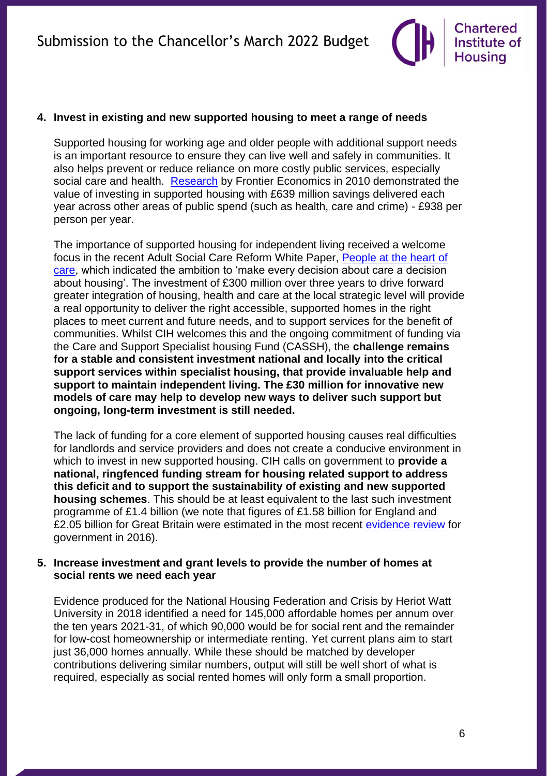

#### **4. Invest in existing and new supported housing to meet a range of needs**

Supported housing for working age and older people with additional support needs is an important resource to ensure they can live well and safely in communities. It also helps prevent or reduce reliance on more costly public services, especially social care and health. [Research](https://www.housinglin.org.uk/_assets/Resources/Housing/Support_materials/Other_reports_and_guidance/Financial_benefits_of_investment_in_specialist_housing_FINAL.pdf) by Frontier Economics in 2010 demonstrated the value of investing in supported housing with £639 million savings delivered each year across other areas of public spend (such as health, care and crime) - £938 per person per year.

The importance of supported housing for independent living received a welcome focus in the recent Adult Social Care Reform White Paper, [People at the heart of](https://assets.publishing.service.gov.uk/government/uploads/system/uploads/attachment_data/file/1037594/people-at-the-heart-of-care_asc-form-accessible.pdf)  [care,](https://assets.publishing.service.gov.uk/government/uploads/system/uploads/attachment_data/file/1037594/people-at-the-heart-of-care_asc-form-accessible.pdf) which indicated the ambition to 'make every decision about care a decision about housing'. The investment of £300 million over three years to drive forward greater integration of housing, health and care at the local strategic level will provide a real opportunity to deliver the right accessible, supported homes in the right places to meet current and future needs, and to support services for the benefit of communities. Whilst CIH welcomes this and the ongoing commitment of funding via the Care and Support Specialist housing Fund (CASSH), the **challenge remains for a stable and consistent investment national and locally into the critical support services within specialist housing, that provide invaluable help and support to maintain independent living. The £30 million for innovative new models of care may help to develop new ways to deliver such support but ongoing, long-term investment is still needed.** 

The lack of funding for a core element of supported housing causes real difficulties for landlords and service providers and does not create a conducive environment in which to invest in new supported housing. CIH calls on government to **provide a national, ringfenced funding stream for housing related support to address this deficit and to support the sustainability of existing and new supported housing schemes**. This should be at least equivalent to the last such investment programme of £1.4 billion (we note that figures of £1.58 billion for England and £2.05 billion for Great Britain were estimated in the most recent [evidence](https://www.gov.uk/government/publications/supported-accommodation-review) review for government in 2016).

#### **5. Increase investment and grant levels to provide the number of homes at social rents we need each year**

Evidence produced for the National Housing Federation and Crisis by Heriot Watt University in 2018 identified a need for 145,000 affordable homes per annum over the ten years 2021-31, of which 90,000 would be for social rent and the remainder for low-cost homeownership or intermediate renting. Yet current plans aim to start just 36,000 homes annually. While these should be matched by developer contributions delivering similar numbers, output will still be well short of what is required, especially as social rented homes will only form a small proportion.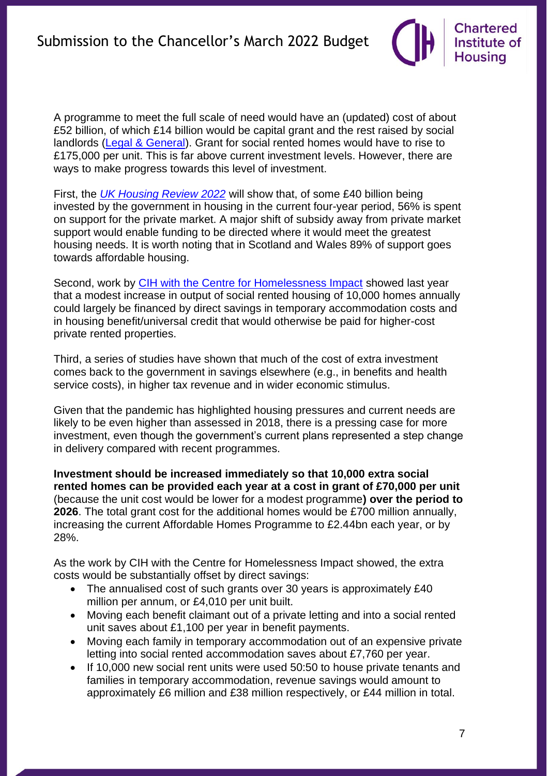A programme to meet the full scale of need would have an (updated) cost of about £52 billion, of which £14 billion would be capital grant and the rest raised by social landlords [\(Legal & General\)](https://group.legalandgeneral.com/media/dyhbktwr/delivering-a-step-change-in-affordable-housing-supply-updated.pdf). Grant for social rented homes would have to rise to £175,000 per unit. This is far above current investment levels. However, there are ways to make progress towards this level of investment.

First, the *[UK Housing Review 2022](https://www.ukhousingreview.org.uk/)* will show that, of some £40 billion being invested by the government in housing in the current four-year period, 56% is spent on support for the private market. A major shift of subsidy away from private market support would enable funding to be directed where it would meet the greatest housing needs. It is worth noting that in Scotland and Wales 89% of support goes towards affordable housing.

Second, work by [CIH with the Centre for Homelessness Impact](https://uploads-ssl.webflow.com/59f07e67422cdf0001904c14/616952c88499426e7d779606_Centre%20for%20Homelessness%20Impact%20and%20Chartered%20Institute%20of%20Housing%20Policy%20paper.pdf) showed last year that a modest increase in output of social rented housing of 10,000 homes annually could largely be financed by direct savings in temporary accommodation costs and in housing benefit/universal credit that would otherwise be paid for higher-cost private rented properties.

Third, a series of studies have shown that much of the cost of extra investment comes back to the government in savings elsewhere (e.g., in benefits and health service costs), in higher tax revenue and in wider economic stimulus.

Given that the pandemic has highlighted housing pressures and current needs are likely to be even higher than assessed in 2018, there is a pressing case for more investment, even though the government's current plans represented a step change in delivery compared with recent programmes.

**Investment should be increased immediately so that 10,000 extra social rented homes can be provided each year at a cost in grant of £70,000 per unit**  (because the unit cost would be lower for a modest programme**) over the period to 2026**. The total grant cost for the additional homes would be £700 million annually, increasing the current Affordable Homes Programme to £2.44bn each year, or by 28%.

As the work by CIH with the Centre for Homelessness Impact showed, the extra costs would be substantially offset by direct savings:

- The annualised cost of such grants over 30 years is approximately £40 million per annum, or £4,010 per unit built.
- Moving each benefit claimant out of a private letting and into a social rented unit saves about £1,100 per year in benefit payments.
- Moving each family in temporary accommodation out of an expensive private letting into social rented accommodation saves about £7,760 per year.
- If 10,000 new social rent units were used 50:50 to house private tenants and families in temporary accommodation, revenue savings would amount to approximately £6 million and £38 million respectively, or £44 million in total.

**Chartered** Institute of **Housing**